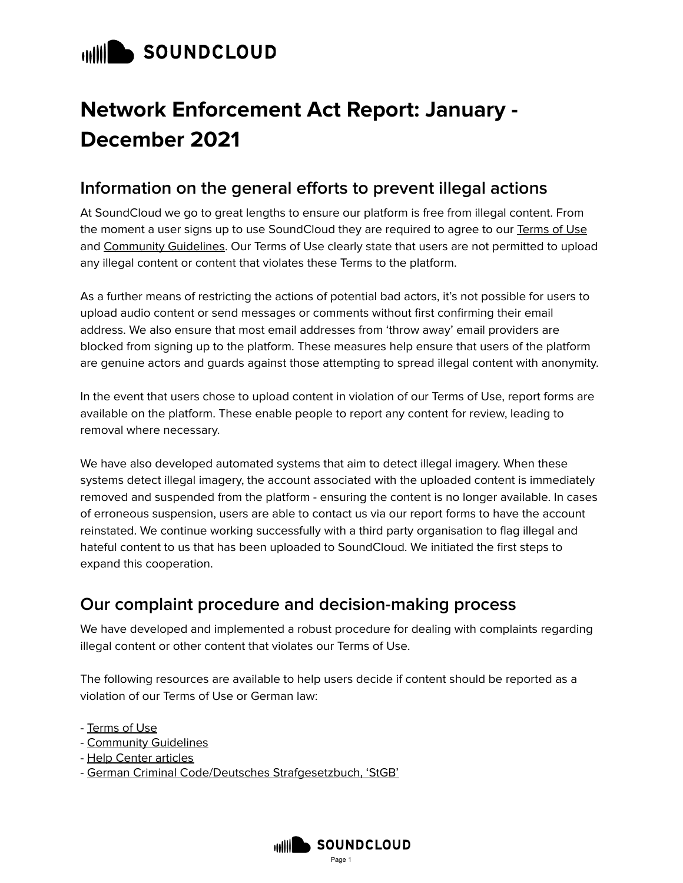## **WILL SOUNDCLOUD**

# **Network Enforcement Act Report: January - December 2021**

#### **Information on the general efforts to prevent illegal actions**

At SoundCloud we go to great lengths to ensure our platform is free from illegal content. From the moment a user signs up to use SoundCloud they are required to agree to our [Terms](https://soundcloud.com/terms-of-use) of Use and [Community](https://soundcloud.com/community-guidelines) Guidelines. Our Terms of Use clearly state that users are not permitted to upload any illegal content or content that violates these Terms to the platform.

As a further means of restricting the actions of potential bad actors, it's not possible for users to upload audio content or send messages or comments without first confirming their email address. We also ensure that most email addresses from 'throw away' email providers are blocked from signing up to the platform. These measures help ensure that users of the platform are genuine actors and guards against those attempting to spread illegal content with anonymity.

In the event that users chose to upload content in violation of our Terms of Use, report forms are available on the platform. These enable people to report any content for review, leading to removal where necessary.

We have also developed automated systems that aim to detect illegal imagery. When these systems detect illegal imagery, the account associated with the uploaded content is immediately removed and suspended from the platform - ensuring the content is no longer available. In cases of erroneous suspension, users are able to contact us via our report forms to have the account reinstated. We continue working successfully with a third party organisation to flag illegal and hateful content to us that has been uploaded to SoundCloud. We initiated the first steps to expand this cooperation.

#### **Our complaint procedure and decision-making process**

We have developed and implemented a robust procedure for dealing with complaints regarding illegal content or other content that violates our Terms of Use.

The following resources are available to help users decide if content should be reported as a violation of our Terms of Use or German law:

- [Terms](https://soundcloud.com/terms-of-use) of Use
- [Community](https://soundcloud.com/community-guidelines) Guidelines
- Help Center [articles](https://help.soundcloud.com/hc/en-us/articles/115003449867-Content-policies)
- German Criminal Code/Deutsches [Strafgesetzbuch,](https://www.gesetze-im-internet.de/englisch_stgb/index.html) 'StGB'

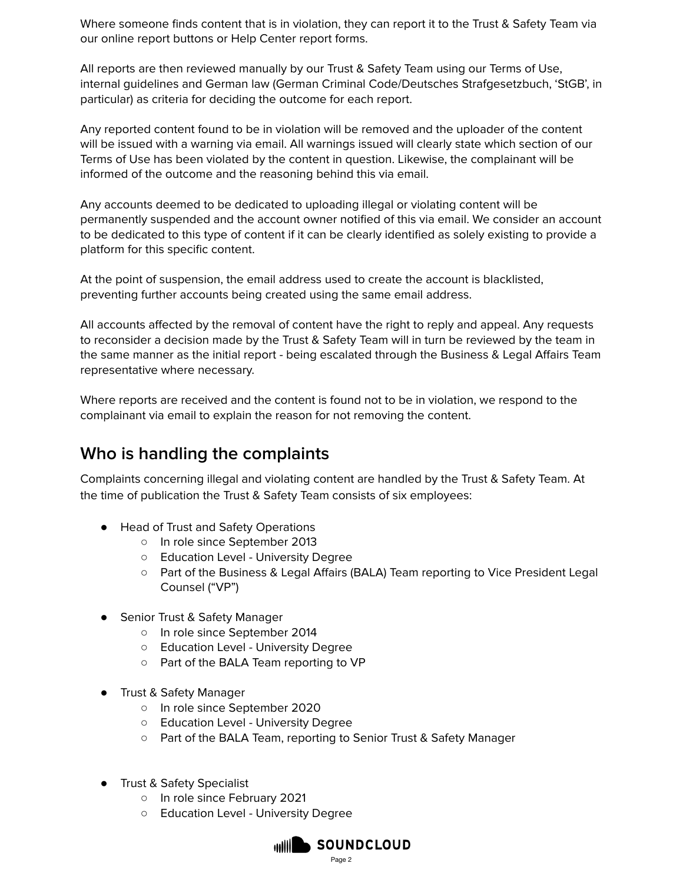Where someone finds content that is in violation, they can report it to the Trust & Safety Team via our online report buttons or Help Center report forms.

All reports are then reviewed manually by our Trust & Safety Team using our Terms of Use, internal guidelines and German law (German Criminal Code/Deutsches Strafgesetzbuch, 'StGB', in particular) as criteria for deciding the outcome for each report.

Any reported content found to be in violation will be removed and the uploader of the content will be issued with a warning via email. All warnings issued will clearly state which section of our Terms of Use has been violated by the content in question. Likewise, the complainant will be informed of the outcome and the reasoning behind this via email.

Any accounts deemed to be dedicated to uploading illegal or violating content will be permanently suspended and the account owner notified of this via email. We consider an account to be dedicated to this type of content if it can be clearly identified as solely existing to provide a platform for this specific content.

At the point of suspension, the email address used to create the account is blacklisted, preventing further accounts being created using the same email address.

All accounts affected by the removal of content have the right to reply and appeal. Any requests to reconsider a decision made by the Trust & Safety Team will in turn be reviewed by the team in the same manner as the initial report - being escalated through the Business & Legal Affairs Team representative where necessary.

Where reports are received and the content is found not to be in violation, we respond to the complainant via email to explain the reason for not removing the content.

#### **Who is handling the complaints**

Complaints concerning illegal and violating content are handled by the Trust & Safety Team. At the time of publication the Trust & Safety Team consists of six employees:

- Head of Trust and Safety Operations
	- In role since September 2013
	- Education Level University Degree
	- Part of the Business & Legal Affairs (BALA) Team reporting to Vice President Legal Counsel ("VP")
- Senior Trust & Safety Manager
	- In role since September 2014
	- Education Level University Degree
	- Part of the BALA Team reporting to VP
- Trust & Safety Manager
	- In role since September 2020
	- Education Level University Degree
	- Part of the BALA Team, reporting to Senior Trust & Safety Manager
- Trust & Safety Specialist
	- In role since February 2021
	- Education Level University Degree

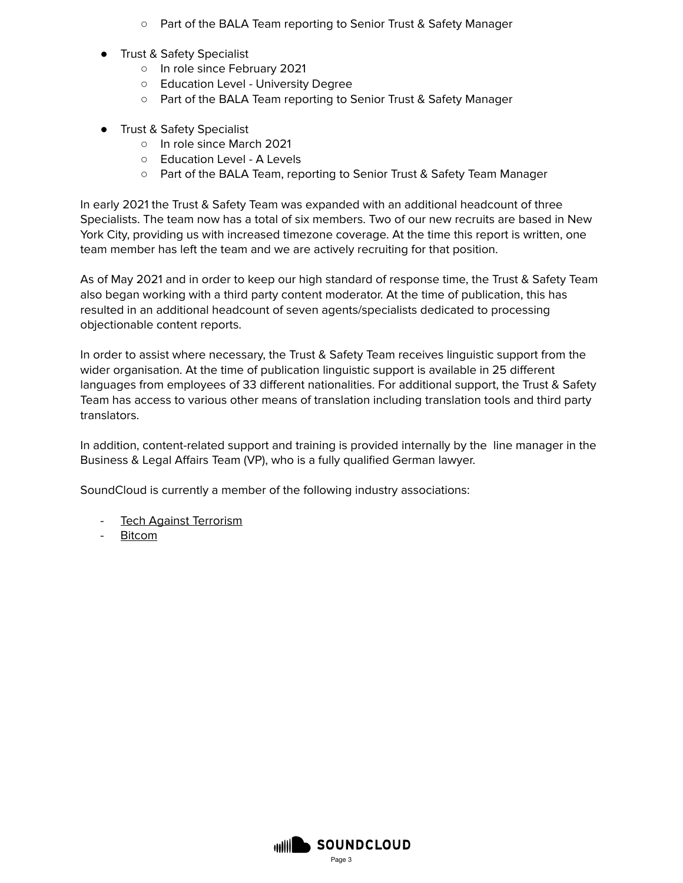- Part of the BALA Team reporting to Senior Trust & Safety Manager
- Trust & Safety Specialist
	- In role since February 2021
	- Education Level University Degree
	- Part of the BALA Team reporting to Senior Trust & Safety Manager
- Trust & Safety Specialist
	- In role since March 2021
	- Education Level A Levels
	- Part of the BALA Team, reporting to Senior Trust & Safety Team Manager

In early 2021 the Trust & Safety Team was expanded with an additional headcount of three Specialists. The team now has a total of six members. Two of our new recruits are based in New York City, providing us with increased timezone coverage. At the time this report is written, one team member has left the team and we are actively recruiting for that position.

As of May 2021 and in order to keep our high standard of response time, the Trust & Safety Team also began working with a third party content moderator. At the time of publication, this has resulted in an additional headcount of seven agents/specialists dedicated to processing objectionable content reports.

In order to assist where necessary, the Trust & Safety Team receives linguistic support from the wider organisation. At the time of publication linguistic support is available in 25 different languages from employees of 33 different nationalities. For additional support, the Trust & Safety Team has access to various other means of translation including translation tools and third party translators.

In addition, content-related support and training is provided internally by the line manager in the Business & Legal Affairs Team (VP), who is a fully qualified German lawyer.

SoundCloud is currently a member of the following industry associations:

- Tech Against [Terrorism](http://www.techagainstterrorism.org/)
- [Bitcom](https://www.bitkom.org/)

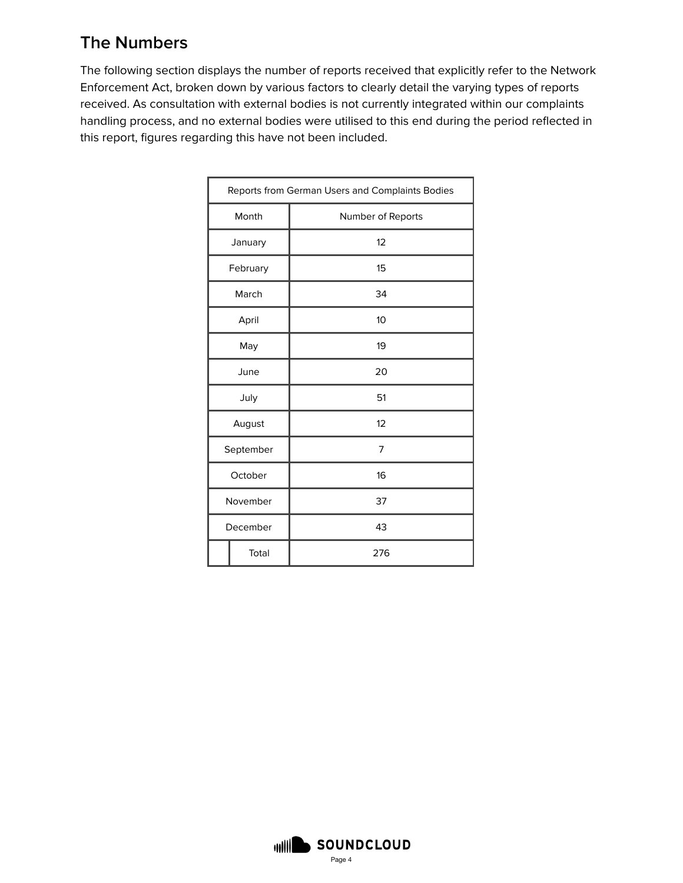### **The Numbers**

The following section displays the number of reports received that explicitly refer to the Network Enforcement Act, broken down by various factors to clearly detail the varying types of reports received. As consultation with external bodies is not currently integrated within our complaints handling process, and no external bodies were utilised to this end during the period reflected in this report, figures regarding this have not been included.

|           | Reports from German Users and Complaints Bodies |
|-----------|-------------------------------------------------|
| Month     | Number of Reports                               |
| January   | 12                                              |
| February  | 15                                              |
| March     | 34                                              |
| April     | 10                                              |
| May       | 19                                              |
| June      | 20                                              |
| July      | 51                                              |
| August    | 12                                              |
| September | 7                                               |
| October   | 16                                              |
| November  | 37                                              |
| December  | 43                                              |
| Total     | 276                                             |

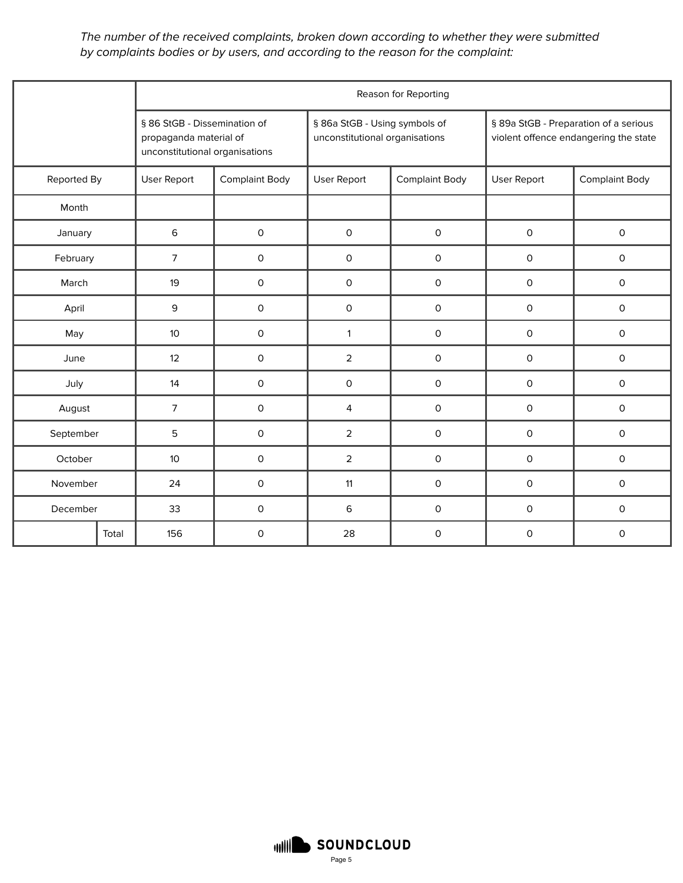The number of the received complaints, broken down according to whether they were submitted by complaints bodies or by users, and according to the reason for the complaint:

|             |       |                                                                                          |                                      |                                                                 | Reason for Reporting  |                                                                                |                       |  |
|-------------|-------|------------------------------------------------------------------------------------------|--------------------------------------|-----------------------------------------------------------------|-----------------------|--------------------------------------------------------------------------------|-----------------------|--|
|             |       | § 86 StGB - Dissemination of<br>propaganda material of<br>unconstitutional organisations |                                      | § 86a StGB - Using symbols of<br>unconstitutional organisations |                       | § 89a StGB - Preparation of a serious<br>violent offence endangering the state |                       |  |
| Reported By |       | User Report                                                                              | <b>Complaint Body</b><br>User Report |                                                                 | <b>Complaint Body</b> | User Report                                                                    | <b>Complaint Body</b> |  |
| Month       |       |                                                                                          |                                      |                                                                 |                       |                                                                                |                       |  |
| January     |       | 6                                                                                        | $\mathsf O$                          | $\mathsf{O}\xspace$                                             | $\mathsf{O}\xspace$   | $\mathsf{O}\xspace$                                                            | $\mathsf{O}\xspace$   |  |
| February    |       | $\overline{7}$                                                                           | $\mathsf{O}\xspace$                  | $\mathsf O$                                                     | $\mathsf{O}\xspace$   | $\mathsf{O}$                                                                   | $\mathsf O$           |  |
| March       |       | 19                                                                                       | $\mathsf O$                          | $\mathsf O$                                                     | $\mathsf O$           | $\mathsf{O}$                                                                   | $\mathsf O$           |  |
| April       |       | 9                                                                                        | $\mathsf O$                          | $\mathsf O$                                                     | $\mathsf{O}\xspace$   | $\mathsf O$                                                                    | 0                     |  |
| May         | 10    |                                                                                          | $\mathsf O$                          | $\mathbf{1}$                                                    | $\mathsf O$           | $\mathsf{O}$                                                                   | 0                     |  |
| June        |       | 12                                                                                       | $\mathsf O$                          | $\overline{2}$                                                  | $\mathsf O$           | $\mathsf{O}$                                                                   | 0                     |  |
| July        |       | 14                                                                                       | $\mathsf O$                          | $\mathsf{O}$                                                    | $\mathsf O$           | $\mathsf{O}$                                                                   | 0                     |  |
| August      |       | $\overline{7}$                                                                           | $\mathsf O$                          | 4                                                               | $\mathsf O$           | $\mathsf O$                                                                    | 0                     |  |
| September   |       | 5                                                                                        | $\mathsf O$                          | $\overline{2}$                                                  | $\mathsf O$           | $\mathsf O$                                                                    | $\mathsf O$           |  |
| October     |       | 10                                                                                       | $\mathsf O$                          | $\overline{2}$                                                  | $\mathsf O$           | $\mathsf{O}$                                                                   | $\mathsf{O}$          |  |
| November    |       | 24                                                                                       | $\mathsf O$                          | 11                                                              | $\mathsf O$           | 0                                                                              | 0                     |  |
| December    |       | 33                                                                                       | $\mathsf O$                          | 6                                                               | $\mathsf O$           | $\mathsf O$                                                                    | $\mathsf O$           |  |
|             | Total | 156                                                                                      | $\mathsf O$                          | 28                                                              | $\mathsf O$           | $\mathsf{O}$                                                                   | $\circ$               |  |

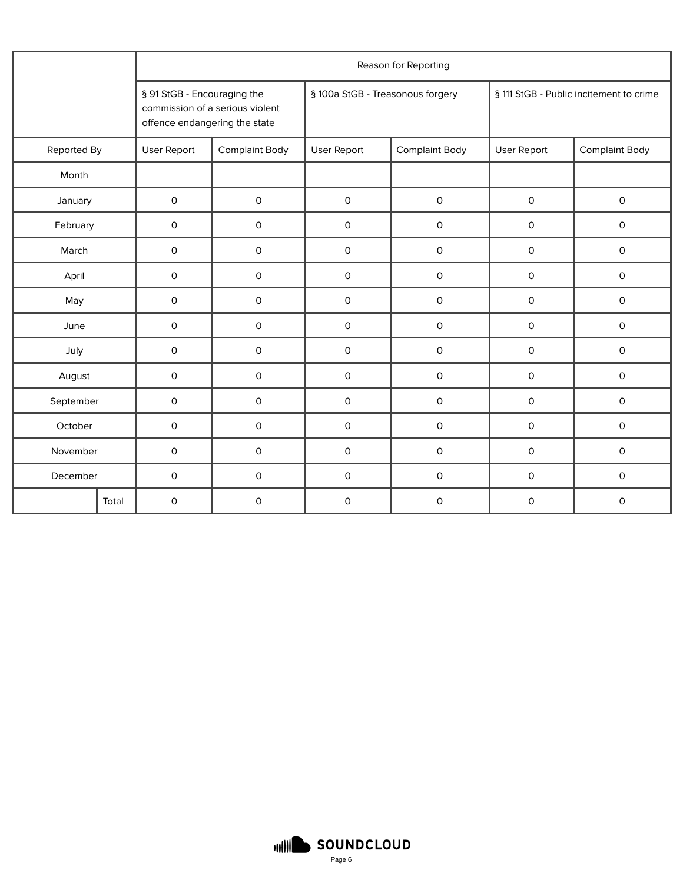|             |       |                                                                                                 |             |                                  | Reason for Reporting  |                                         |                       |  |
|-------------|-------|-------------------------------------------------------------------------------------------------|-------------|----------------------------------|-----------------------|-----------------------------------------|-----------------------|--|
|             |       | § 91 StGB - Encouraging the<br>commission of a serious violent<br>offence endangering the state |             | § 100a StGB - Treasonous forgery |                       | § 111 StGB - Public incitement to crime |                       |  |
| Reported By |       | User Report<br><b>Complaint Body</b>                                                            |             | <b>User Report</b>               | <b>Complaint Body</b> | <b>User Report</b>                      | <b>Complaint Body</b> |  |
| Month       |       |                                                                                                 |             |                                  |                       |                                         |                       |  |
| January     |       | $\mathsf O$                                                                                     | $\mathsf O$ | $\mathsf{O}$                     | $\mathsf O$           | $\mathsf O$                             | $\mathsf O$           |  |
| February    |       | $\mathsf O$                                                                                     | $\mathsf O$ | 0                                | $\mathsf O$           | $\mathsf O$                             | $\mathsf O$           |  |
| March       |       | $\mathsf O$                                                                                     | $\mathsf O$ | 0                                | $\mathsf O$           | $\mathsf{O}$                            | 0                     |  |
| April       |       | $\mathsf{O}$                                                                                    | $\mathsf O$ | 0                                | $\mathsf O$           | $\mathsf{O}$                            | 0                     |  |
| May         |       |                                                                                                 | $\mathsf O$ | 0                                | $\mathsf O$           | $\mathsf O$                             | 0                     |  |
| June        |       | $\mathsf O$                                                                                     | $\mathsf O$ | 0                                | $\mathsf O$           | $\mathsf{O}$                            | 0                     |  |
| July        |       | $\mathsf O$                                                                                     | $\mathsf O$ | 0                                | $\mathsf O$           | $\mathsf{O}$                            | 0                     |  |
| August      |       | $\mathsf O$                                                                                     | $\mathsf O$ | 0                                | $\mathsf O$           | $\mathsf{O}$                            | 0                     |  |
| September   |       | $\mathsf O$                                                                                     | O           | 0                                | $\mathsf O$           | $\mathsf{O}$                            | 0                     |  |
| October     |       | $\mathsf O$                                                                                     | 0           | 0                                | $\mathsf O$           | $\mathsf{O}$                            | 0                     |  |
| November    |       | $\mathsf O$                                                                                     | O           | 0                                | $\mathsf O$           | $\mathsf{O}$                            | 0                     |  |
| December    |       | $\mathsf O$                                                                                     | 0           | 0                                | $\mathsf O$           | 0                                       | 0                     |  |
|             | Total | $\mathbf 0$                                                                                     | 0           | 0                                | $\mathbf 0$           | $\mathsf{O}$                            | 0                     |  |

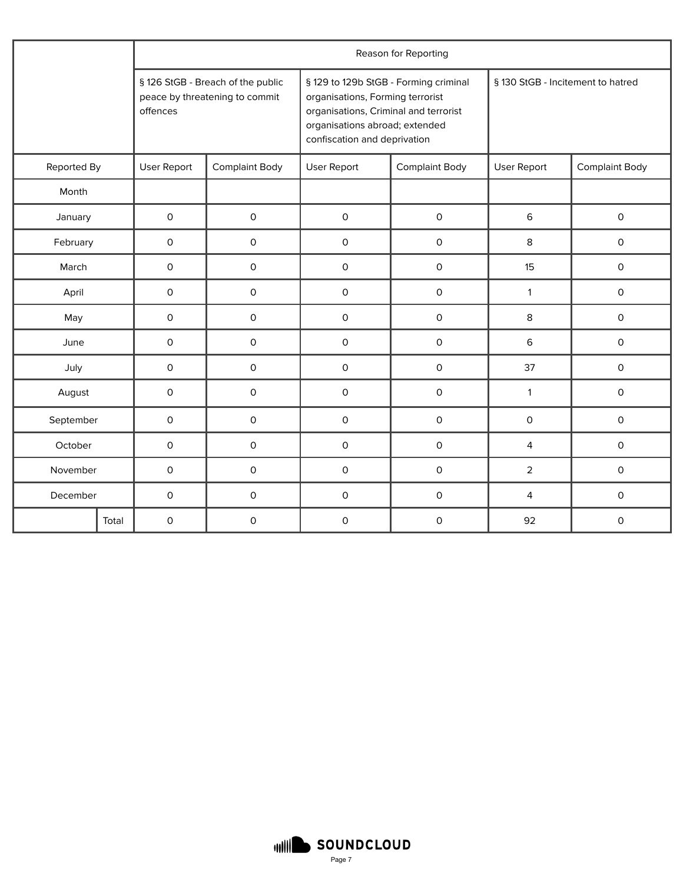|             |       |              | Reason for Reporting                                                |                                                                                                                                                                                      |                       |                                   |                       |  |  |  |  |
|-------------|-------|--------------|---------------------------------------------------------------------|--------------------------------------------------------------------------------------------------------------------------------------------------------------------------------------|-----------------------|-----------------------------------|-----------------------|--|--|--|--|
|             |       | offences     | § 126 StGB - Breach of the public<br>peace by threatening to commit | § 129 to 129b StGB - Forming criminal<br>organisations, Forming terrorist<br>organisations, Criminal and terrorist<br>organisations abroad; extended<br>confiscation and deprivation |                       | § 130 StGB - Incitement to hatred |                       |  |  |  |  |
| Reported By |       | User Report  | <b>Complaint Body</b>                                               | User Report                                                                                                                                                                          | <b>Complaint Body</b> | User Report                       | <b>Complaint Body</b> |  |  |  |  |
| Month       |       |              |                                                                     |                                                                                                                                                                                      |                       |                                   |                       |  |  |  |  |
| January     |       | $\mathsf O$  | $\mathsf{O}\xspace$                                                 | $\mathsf O$                                                                                                                                                                          | $\mathsf{O}\xspace$   | 6                                 | $\mathsf O$           |  |  |  |  |
| February    |       | $\mathsf{O}$ | $\mathsf{O}$                                                        | $\mathsf O$                                                                                                                                                                          | $\mathsf{O}$          | 8                                 | $\mathsf{O}$          |  |  |  |  |
| March       |       | $\mathsf O$  | $\mathsf{O}$                                                        | $\mathsf O$                                                                                                                                                                          | $\mathsf O$           | 15                                | $\mathsf O$           |  |  |  |  |
| April       |       | $\mathsf O$  | $\mathsf{O}$                                                        | $\mathsf O$                                                                                                                                                                          | $\mathsf O$           | $\mathbf{1}$                      | $\mathsf{O}\xspace$   |  |  |  |  |
| May         |       | $\mathsf O$  | O                                                                   | $\mathsf O$                                                                                                                                                                          | $\mathsf O$           | 8                                 | $\mathsf{O}\xspace$   |  |  |  |  |
| June        |       | $\mathsf O$  | 0                                                                   | $\mathsf O$                                                                                                                                                                          | $\mathsf O$           | 6                                 | $\mathsf O$           |  |  |  |  |
| July        |       | $\mathsf{O}$ | $\Omega$                                                            | $\Omega$                                                                                                                                                                             | $\mathsf{O}$          | 37                                | $\mathsf{O}\xspace$   |  |  |  |  |
| August      |       | $\mathsf{O}$ | 0                                                                   | $\mathsf O$                                                                                                                                                                          | $\mathsf{O}\xspace$   | $\mathbf{1}$                      | $\mathsf O$           |  |  |  |  |
| September   |       | $\mathsf O$  | $\mathsf{O}$                                                        | $\mathsf O$                                                                                                                                                                          | $\mathsf{O}$          | $\mathsf{O}$                      | $\mathsf O$           |  |  |  |  |
| October     |       | 0            | 0                                                                   | $\mathsf O$                                                                                                                                                                          | 0                     | 4                                 | $\mathsf O$           |  |  |  |  |
| November    |       | $\mathsf O$  | $\mathsf{O}$                                                        | $\mathsf O$                                                                                                                                                                          | $\mathsf O$           | $\overline{2}$                    | $\mathsf{O}\xspace$   |  |  |  |  |
| December    |       | $\mathsf O$  | $\mathsf{O}$                                                        | $\mathsf O$                                                                                                                                                                          | $\mathsf O$           | $\overline{4}$                    | $\mathsf O$           |  |  |  |  |
|             | Total | $\mathsf{O}$ | 0                                                                   | 0                                                                                                                                                                                    | $\mathsf{O}\xspace$   | 92                                | 0                     |  |  |  |  |

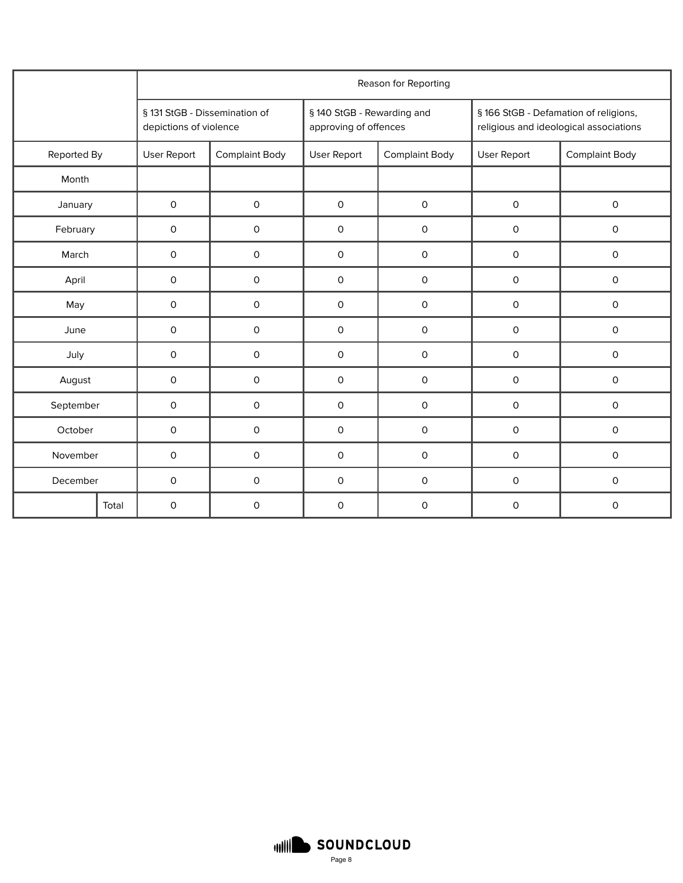|             |              |                                                         |                     |                                                     | Reason for Reporting  |                                                                                 |                       |  |
|-------------|--------------|---------------------------------------------------------|---------------------|-----------------------------------------------------|-----------------------|---------------------------------------------------------------------------------|-----------------------|--|
|             |              | § 131 StGB - Dissemination of<br>depictions of violence |                     | § 140 StGB - Rewarding and<br>approving of offences |                       | § 166 StGB - Defamation of religions,<br>religious and ideological associations |                       |  |
| Reported By |              | User Report<br><b>Complaint Body</b>                    |                     | User Report                                         | <b>Complaint Body</b> | User Report                                                                     | <b>Complaint Body</b> |  |
| Month       |              |                                                         |                     |                                                     |                       |                                                                                 |                       |  |
| January     |              | $\mathsf{O}\xspace$                                     | $\mathsf{O}\xspace$ | $\mathsf{O}\xspace$                                 | $\mathsf{O}\xspace$   | $\mathsf{O}\xspace$                                                             | $\mathsf{O}\xspace$   |  |
| February    |              | $\mathsf O$                                             | $\mathsf O$         | $\mathsf O$                                         | $\mathsf{O}\xspace$   | $\mathsf O$                                                                     | $\mathsf O$           |  |
| March       |              | 0                                                       | $\mathsf O$         | $\mathsf{O}\xspace$                                 | $\mathsf O$           | $\mathsf{O}$                                                                    | $\mathsf O$           |  |
| April       |              | 0                                                       | $\mathsf{O}\xspace$ | $\mathsf{O}\xspace$                                 | $\mathsf O$           | $\mathsf O$                                                                     | $\mathsf O$           |  |
| May         | $\mathsf{O}$ |                                                         | $\mathsf{O}$        | $\mathsf{O}$                                        | $\mathsf{O}$          | $\mathsf{O}$                                                                    | $\mathsf{O}$          |  |
| June        |              | $\mathsf O$                                             | $\mathsf{O}\xspace$ | $\mathsf{O}\xspace$                                 | $\mathsf O$           | $\mathsf O$                                                                     | $\mathsf O$           |  |
| July        |              | $\mathsf O$                                             | $\mathsf O$         | $\mathsf{O}\xspace$                                 | $\mathsf O$           | 0                                                                               | $\mathsf O$           |  |
| August      |              | $\mathsf O$                                             | $\mathsf O$         | $\mathsf O$                                         | $\mathsf O$           | $\mathsf O$                                                                     | $\mathsf O$           |  |
| September   |              | $\mathsf O$                                             | $\mathsf O$         | $\mathsf O$                                         | $\mathsf O$           | $\mathsf O$                                                                     | $\mathsf O$           |  |
| October     |              | $\mathsf O$                                             | $\mathsf O$         | $\mathsf O$                                         | $\mathsf O$           | $\mathsf O$                                                                     | $\mathsf O$           |  |
| November    |              | $\mathsf O$                                             | $\mathsf{O}\xspace$ | $\mathsf{O}\xspace$                                 | $\mathsf O$           | $\mathsf O$                                                                     | $\mathsf{O}\xspace$   |  |
| December    |              | $\mathsf O$                                             | $\mathsf{O}\xspace$ | $\mathsf{O}\xspace$                                 | $\mathsf O$           | $\mathsf O$                                                                     | $\mathsf O$           |  |
|             | Total        | $\mathsf O$                                             | $\mathsf O$         | $\mathsf O$                                         | $\mathsf O$           | $\mathsf O$                                                                     | $\mathsf O$           |  |

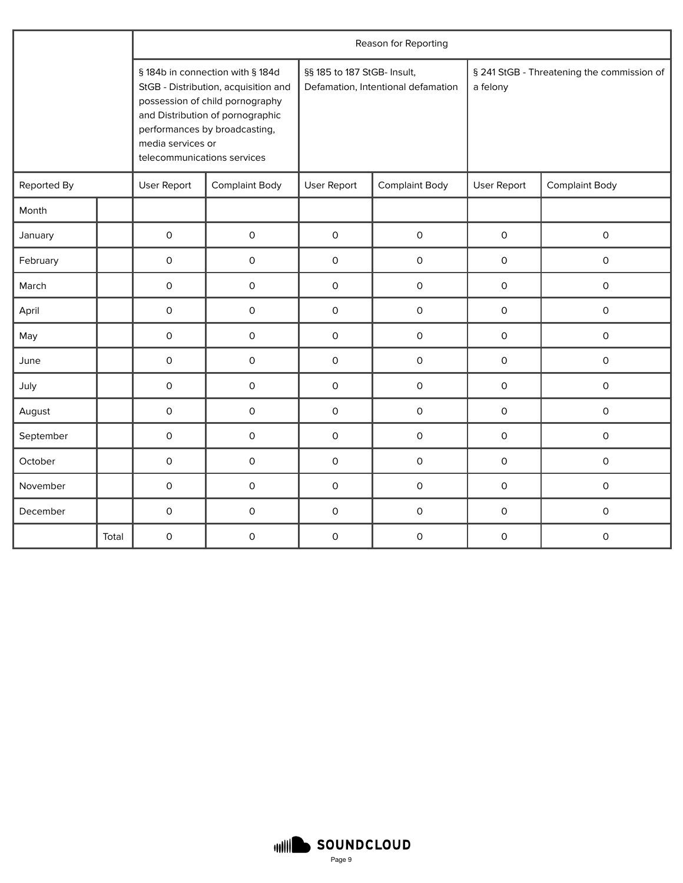|             |       |                                                  |                                                                                                                                                                                  |                             | Reason for Reporting               |                                                        |                       |  |
|-------------|-------|--------------------------------------------------|----------------------------------------------------------------------------------------------------------------------------------------------------------------------------------|-----------------------------|------------------------------------|--------------------------------------------------------|-----------------------|--|
|             |       | media services or<br>telecommunications services | § 184b in connection with § 184d<br>StGB - Distribution, acquisition and<br>possession of child pornography<br>and Distribution of pornographic<br>performances by broadcasting, | §§ 185 to 187 StGB- Insult, | Defamation, Intentional defamation | § 241 StGB - Threatening the commission of<br>a felony |                       |  |
| Reported By |       | User Report                                      | <b>Complaint Body</b>                                                                                                                                                            | User Report                 | <b>Complaint Body</b>              | User Report                                            | <b>Complaint Body</b> |  |
| Month       |       |                                                  |                                                                                                                                                                                  |                             |                                    |                                                        |                       |  |
| January     |       | $\mathsf{O}$                                     | $\mathsf{O}\xspace$                                                                                                                                                              | $\mathsf O$                 | 0                                  | $\mathsf O$                                            | $\mathsf O$           |  |
| February    |       | $\mathsf O$                                      | $\mathsf{O}\xspace$                                                                                                                                                              | $\mathsf O$                 | $\mathsf{O}\xspace$                | $\mathsf O$                                            | $\mathsf{O}\xspace$   |  |
| March       |       | $\mathsf{O}$                                     | $\mathsf{O}\xspace$                                                                                                                                                              | $\mathsf{O}$                | 0                                  | $\mathsf O$                                            | 0                     |  |
| April       |       | 0                                                | $\mathsf O$                                                                                                                                                                      | $\mathsf O$                 | 0                                  | $\mathsf O$                                            | 0                     |  |
| May         |       | $\mathsf O$                                      | $\mathsf{O}\xspace$                                                                                                                                                              | $\mathsf O$                 | $\mathsf{O}\xspace$                | $\mathsf O$                                            | $\mathsf{O}\xspace$   |  |
| June        |       | $\mathsf O$                                      | $\mathsf{O}\xspace$                                                                                                                                                              | $\mathsf O$                 | $\mathsf{O}\xspace$                | $\mathsf O$                                            | $\mathsf{O}\xspace$   |  |
| July        |       | $\mathsf{O}$                                     | $\mathsf{O}$                                                                                                                                                                     | $\mathsf{O}$                | $\mathsf{O}\xspace$                | $\mathsf O$                                            | $\mathsf{O}$          |  |
| August      |       | $\mathsf{O}\xspace$                              | $\mathsf O$                                                                                                                                                                      | $\mathsf{O}$                | $\mathsf{O}\xspace$                | $\mathsf O$                                            | $\mathsf{O}$          |  |
| September   |       | $\mathsf{O}$                                     | $\mathsf O$                                                                                                                                                                      | $\mathsf O$                 | 0                                  | $\mathsf O$                                            | 0                     |  |
| October     |       | $\mathsf{O}$                                     | $\mathsf{O}\xspace$                                                                                                                                                              | $\mathsf O$                 | 0                                  | $\mathsf O$                                            | 0                     |  |
| November    |       | $\mathsf O$                                      | $\mathsf{O}\xspace$                                                                                                                                                              | $\mathsf O$                 | $\mathsf{O}\xspace$                | $\mathsf O$                                            | $\mathsf{O}\xspace$   |  |
| December    |       | 0                                                | $\mathsf O$                                                                                                                                                                      | $\mathsf O$                 | $\mathsf{O}\xspace$                | $\mathsf O$                                            | $\mathsf O$           |  |
|             | Total | $\mathsf O$                                      | $\mathsf{O}\xspace$                                                                                                                                                              | $\mathsf O$                 | $\mathsf{O}\xspace$                | $\mathsf O$                                            | $\mathsf{O}\xspace$   |  |

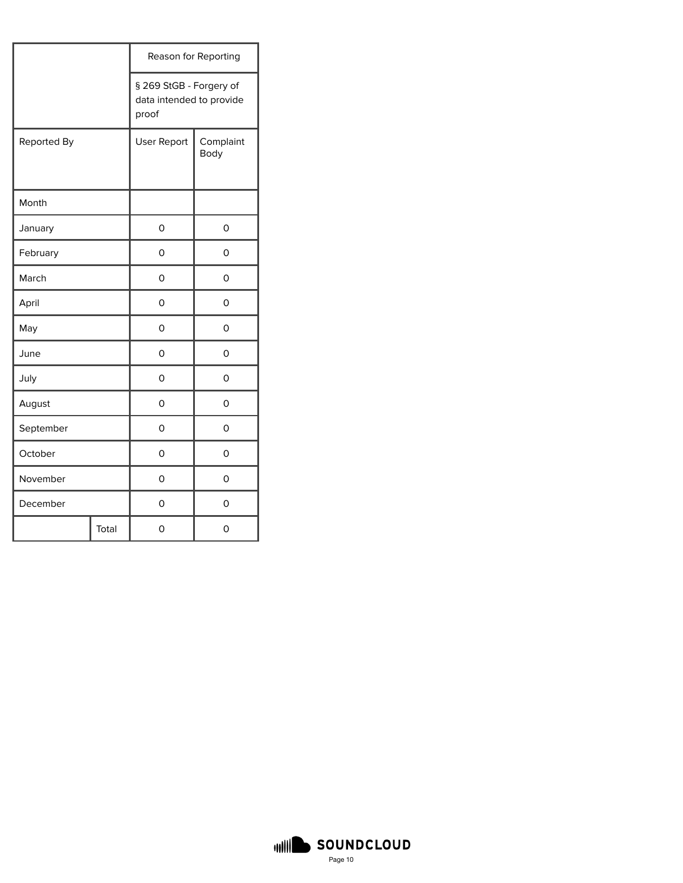|             |       |                                                              | Reason for Reporting     |
|-------------|-------|--------------------------------------------------------------|--------------------------|
|             |       | § 269 StGB - Forgery of<br>data intended to provide<br>proof |                          |
| Reported By |       | <b>User Report</b>                                           | Complaint<br><b>Body</b> |
| Month       |       |                                                              |                          |
| January     |       | 0                                                            | 0                        |
| February    |       | 0                                                            | 0                        |
| March       |       | 0                                                            | 0                        |
| April       |       | 0                                                            | 0                        |
| May         |       | 0                                                            | 0                        |
| June        |       | 0                                                            | 0                        |
| July        |       | 0                                                            | 0                        |
| August      |       | 0                                                            | 0                        |
| September   |       | 0                                                            | 0                        |
| October     |       | 0                                                            | 0                        |
| November    |       | 0                                                            | 0                        |
| December    |       | 0                                                            | 0                        |
|             | Total | 0                                                            | 0                        |

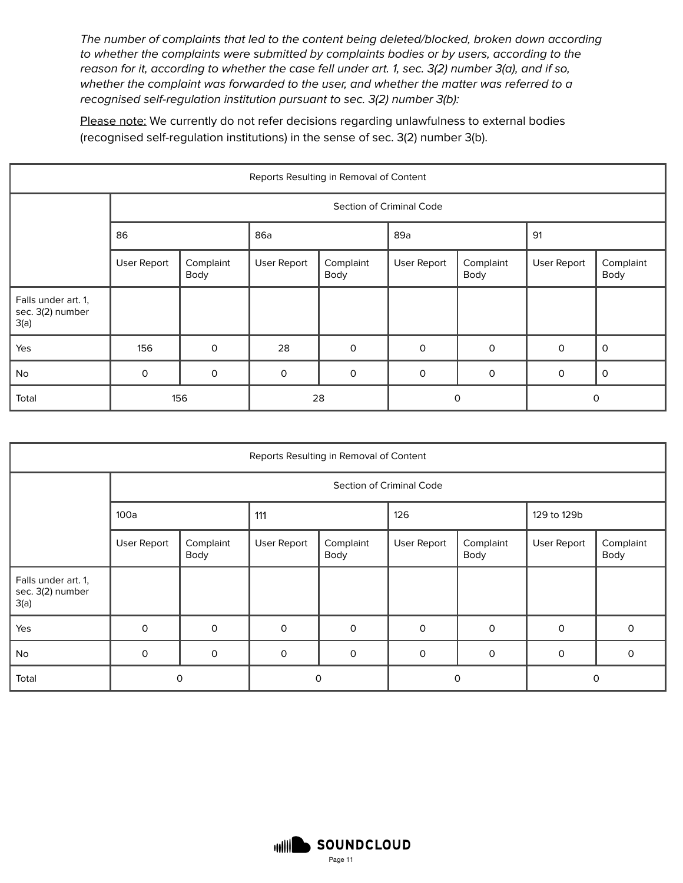The number of complaints that led to the content being deleted/blocked, broken down according to whether the complaints were submitted by complaints bodies or by users, according to the reason for it, according to whether the case fell under art. 1, sec. 3(2) number 3(a), and if so, whether the complaint was forwarded to the user, and whether the matter was referred to a recognised self-regulation institution pursuant to sec. 3(2) number 3(b):

Please note: We currently do not refer decisions regarding unlawfulness to external bodies (recognised self-regulation institutions) in the sense of sec. 3(2) number 3(b).

| Reports Resulting in Removal of Content         |             |                          |              |                   |              |                   |                    |                   |  |  |  |  |
|-------------------------------------------------|-------------|--------------------------|--------------|-------------------|--------------|-------------------|--------------------|-------------------|--|--|--|--|
|                                                 |             | Section of Criminal Code |              |                   |              |                   |                    |                   |  |  |  |  |
|                                                 | 86          |                          | 86a          |                   | 89a          |                   |                    |                   |  |  |  |  |
|                                                 | User Report | Complaint<br>Body        | User Report  | Complaint<br>Body | User Report  | Complaint<br>Body | <b>User Report</b> | Complaint<br>Body |  |  |  |  |
| Falls under art. 1,<br>sec. 3(2) number<br>3(a) |             |                          |              |                   |              |                   |                    |                   |  |  |  |  |
| Yes                                             | 156         | $\mathsf{O}$             | 28           | $\mathsf{O}$      | $\mathsf{O}$ | $\mathsf{O}$      | $\mathbf 0$        | $\mathsf{o}$      |  |  |  |  |
| No                                              | $\mathbf 0$ | $\mathsf{O}$             | $\mathsf{O}$ | $\mathsf{O}$      | $\mathsf{O}$ | $\mathsf{O}$      | $\mathbf 0$        | $\mathsf{o}$      |  |  |  |  |
| Total                                           |             | 156                      | 28           |                   | $\mathbf 0$  |                   | $\mathbf 0$        |                   |  |  |  |  |

| Reports Resulting in Removal of Content         |                          |                   |             |                   |             |                   |             |                   |  |  |  |
|-------------------------------------------------|--------------------------|-------------------|-------------|-------------------|-------------|-------------------|-------------|-------------------|--|--|--|
|                                                 | Section of Criminal Code |                   |             |                   |             |                   |             |                   |  |  |  |
|                                                 | 100a                     |                   | 111         |                   |             |                   | 129 to 129b |                   |  |  |  |
|                                                 | User Report              | Complaint<br>Body | User Report | Complaint<br>Body | User Report | Complaint<br>Body | User Report | Complaint<br>Body |  |  |  |
| Falls under art. 1,<br>sec. 3(2) number<br>3(a) |                          |                   |             |                   |             |                   |             |                   |  |  |  |
| Yes                                             | $\mathbf 0$              | $\mathbf 0$       | 0           | $\mathbf 0$       | $\circ$     | $\mathbf 0$       | $\mathbf 0$ | 0                 |  |  |  |
| No                                              | $\Omega$                 | $\mathsf{O}$      | 0           | $\mathbf 0$       | $\mathbf 0$ | $\mathbf 0$       | $\Omega$    | $\Omega$          |  |  |  |
| Total                                           |                          | $\mathbf 0$       | 0           |                   | 0           |                   | $\circ$     |                   |  |  |  |

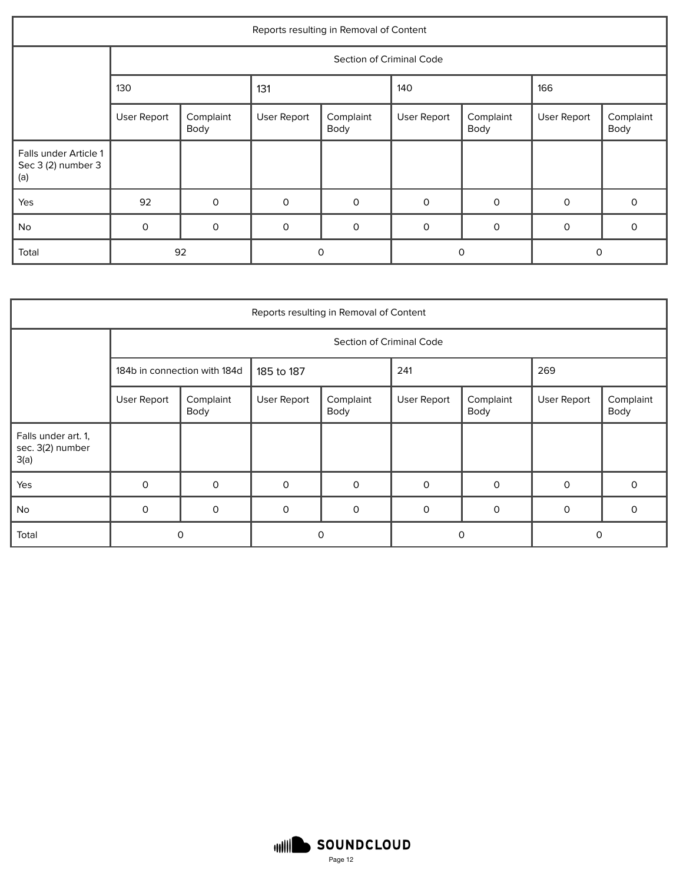| Reports resulting in Removal of Content            |             |                   |              |                          |             |                   |              |                   |  |  |
|----------------------------------------------------|-------------|-------------------|--------------|--------------------------|-------------|-------------------|--------------|-------------------|--|--|
|                                                    |             |                   |              | Section of Criminal Code |             |                   |              |                   |  |  |
|                                                    | 130         |                   | 131          |                          |             |                   | 166          |                   |  |  |
|                                                    | User Report | Complaint<br>Body | User Report  | Complaint<br>Body        | User Report | Complaint<br>Body | User Report  | Complaint<br>Body |  |  |
| Falls under Article 1<br>Sec 3 (2) number 3<br>(a) |             |                   |              |                          |             |                   |              |                   |  |  |
| Yes                                                | 92          | $\mathbf 0$       | $\mathsf{O}$ | $\mathbf 0$              | $\circ$     | $\mathbf 0$       | $\mathbf 0$  | 0                 |  |  |
| No                                                 | $\mathsf O$ | $\mathsf{O}$      | $\mathsf{O}$ | $\mathsf{O}$             | $\mathbf 0$ | $\mathsf{O}$      | $\mathsf{O}$ | 0                 |  |  |
| Total                                              |             | 92                | $\mathbf 0$  |                          | 0           |                   | O            |                   |  |  |

| Reports resulting in Removal of Content         |             |                              |             |                          |              |                   |             |                   |  |  |
|-------------------------------------------------|-------------|------------------------------|-------------|--------------------------|--------------|-------------------|-------------|-------------------|--|--|
|                                                 |             |                              |             | Section of Criminal Code |              |                   |             |                   |  |  |
|                                                 |             | 184b in connection with 184d | 185 to 187  |                          | 241          |                   | 269         |                   |  |  |
|                                                 | User Report | Complaint<br>Body            | User Report | Complaint<br>Body        | User Report  | Complaint<br>Body | User Report | Complaint<br>Body |  |  |
| Falls under art. 1,<br>sec. 3(2) number<br>3(a) |             |                              |             |                          |              |                   |             |                   |  |  |
| Yes                                             | $\Omega$    | $\Omega$                     | $\mathbf 0$ | $\mathsf{O}$             | $\mathbf 0$  | $\mathbf 0$       | $\Omega$    | $\Omega$          |  |  |
| No                                              | 0           | 0                            | 0           | 0                        | $\mathsf{O}$ | $\mathsf{O}$      | $\mathbf 0$ | 0                 |  |  |
| Total                                           |             | 0                            |             | 0                        |              | 0                 |             | 0                 |  |  |

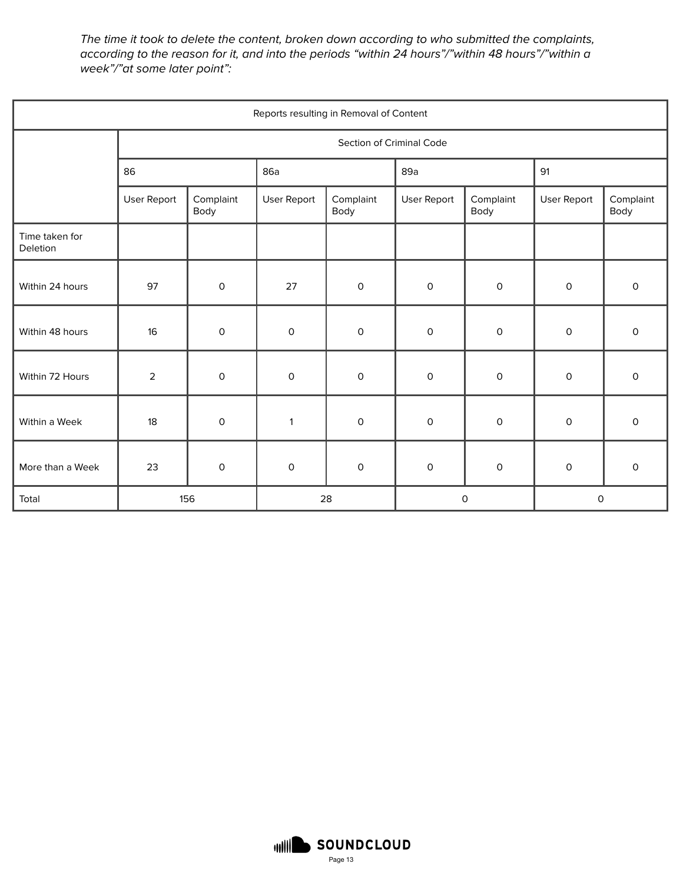The time it took to delete the content, broken down according to who submitted the complaints, according to the reason for it, and into the periods "within 24 hours"/"within 48 hours"/"within a week"/"at some later point":

| Reports resulting in Removal of Content |                |                          |                     |                     |                     |                     |                     |                   |  |  |
|-----------------------------------------|----------------|--------------------------|---------------------|---------------------|---------------------|---------------------|---------------------|-------------------|--|--|
|                                         |                | Section of Criminal Code |                     |                     |                     |                     |                     |                   |  |  |
|                                         | 86             |                          | 86a                 |                     | 89a                 |                     | 91                  |                   |  |  |
|                                         | User Report    | Complaint<br>Body        | User Report         | Complaint<br>Body   | User Report         | Complaint<br>Body   | User Report         | Complaint<br>Body |  |  |
| Time taken for<br>Deletion              |                |                          |                     |                     |                     |                     |                     |                   |  |  |
| Within 24 hours                         | 97             | $\mathsf O$              | 27                  | $\mathsf O$         | 0                   | $\mathsf O$         | $\mathsf{o}$        | 0                 |  |  |
| Within 48 hours                         | 16             | $\mathsf O$              | $\mathsf{O}\xspace$ | $\mathsf O$         | $\mathsf O$         | $\mathsf O$         | $\mathbf 0$         | 0                 |  |  |
| Within 72 Hours                         | $\overline{a}$ | $\mathsf O$              | $\mathsf O$         | $\mathsf O$         | $\mathsf O$         | $\mathsf O$         | $\mathsf O$         | 0                 |  |  |
| Within a Week                           | 18             | $\mathsf O$              | $\mathbf{1}$        | $\mathsf O$         | 0                   | $\mathsf O$         | $\mathsf{o}$        | 0                 |  |  |
| More than a Week                        | 23             | $\mathsf O$              | $\mathsf{O}\xspace$ | $\mathsf{O}\xspace$ | $\mathsf{O}\xspace$ | $\mathsf{O}\xspace$ | $\mathsf{O}\xspace$ | 0                 |  |  |
| Total                                   |                | 156                      |                     | 28                  |                     | 0                   |                     | 0                 |  |  |

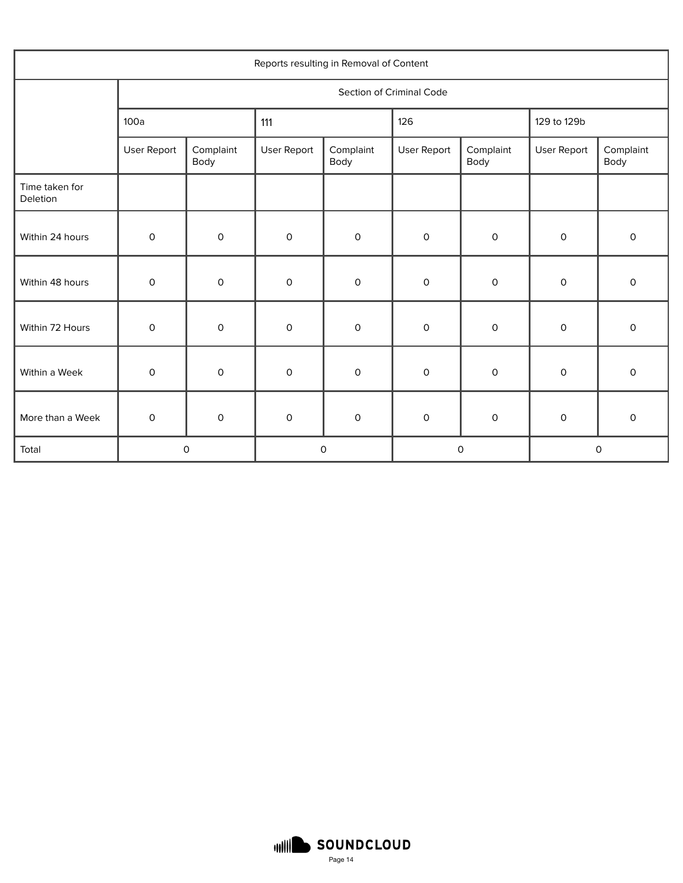| Reports resulting in Removal of Content |                          |                     |                     |                     |                     |                     |                     |                     |  |
|-----------------------------------------|--------------------------|---------------------|---------------------|---------------------|---------------------|---------------------|---------------------|---------------------|--|
|                                         | Section of Criminal Code |                     |                     |                     |                     |                     |                     |                     |  |
|                                         | 100a                     |                     | 111                 |                     | 126                 |                     | 129 to 129b         |                     |  |
|                                         | User Report              | Complaint<br>Body   | User Report         | Complaint<br>Body   | User Report         | Complaint<br>Body   | User Report         | Complaint<br>Body   |  |
| Time taken for<br>Deletion              |                          |                     |                     |                     |                     |                     |                     |                     |  |
| Within 24 hours                         | $\mathsf O$              | $\mathsf O$         | $\mathsf O$         | $\mathsf O$         | 0                   | 0                   | $\mathsf O$         | 0                   |  |
| Within 48 hours                         | $\mathsf O$              | $\mathsf O$         | 0                   | $\mathsf O$         | $\mathsf O$         | 0                   | $\mathsf O$         | 0                   |  |
| Within 72 Hours                         | $\mathsf O$              | $\mathsf O$         | $\mathsf O$         | $\mathsf O$         | 0                   | $\mathsf O$         | $\mathsf O$         | 0                   |  |
| Within a Week                           | $\mathsf O$              | $\mathsf O$         | $\mathsf O$         | $\mathsf O$         | 0                   | 0                   | $\mathsf O$         | 0                   |  |
| More than a Week                        | $\mathsf{O}\xspace$      | $\mathsf{O}\xspace$ | $\mathsf{O}\xspace$ | $\mathsf{O}\xspace$ | $\mathsf{O}\xspace$ | $\mathsf{O}\xspace$ | $\mathsf{O}\xspace$ | $\mathsf{O}\xspace$ |  |
| Total                                   | 0                        |                     | $\mathsf O$         |                     | $\mathsf O$         |                     | $\mathsf O$         |                     |  |

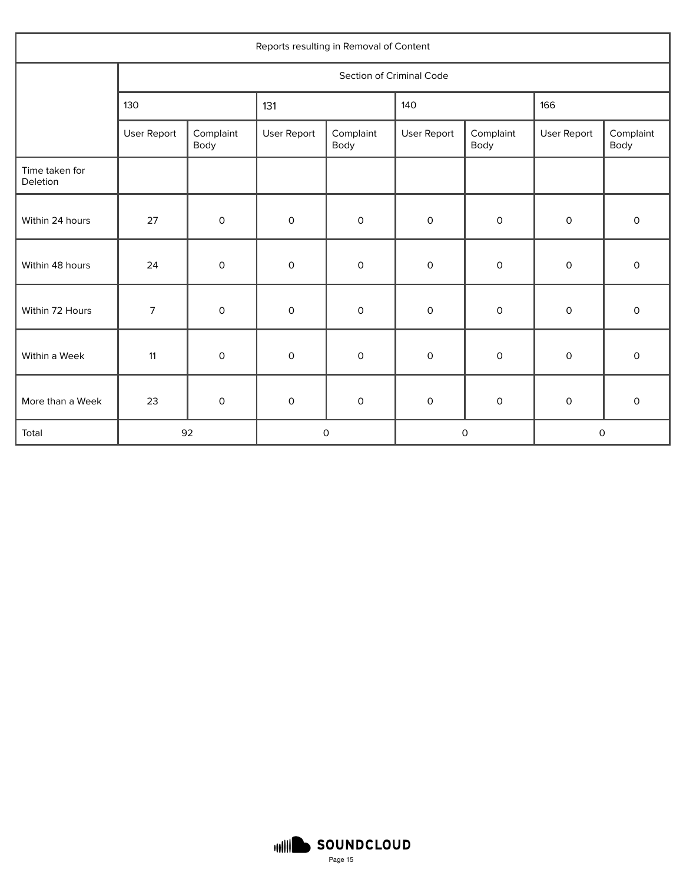| Reports resulting in Removal of Content |                          |                     |                     |                   |                     |                   |                     |                   |  |  |
|-----------------------------------------|--------------------------|---------------------|---------------------|-------------------|---------------------|-------------------|---------------------|-------------------|--|--|
|                                         | Section of Criminal Code |                     |                     |                   |                     |                   |                     |                   |  |  |
|                                         | 130                      |                     | 131                 |                   | 140                 |                   | 166                 |                   |  |  |
|                                         | User Report              | Complaint<br>Body   | User Report         | Complaint<br>Body | User Report         | Complaint<br>Body | User Report         | Complaint<br>Body |  |  |
| Time taken for<br>Deletion              |                          |                     |                     |                   |                     |                   |                     |                   |  |  |
| Within 24 hours                         | 27                       | $\mathsf{O}\xspace$ | $\mathsf{O}\xspace$ | $\mathsf O$       | $\mathsf O$         | $\mathsf O$       | 0                   | $\mathsf O$       |  |  |
| Within 48 hours                         | 24                       | $\mathsf O$         | $\mathsf O$         | $\mathsf O$       | $\mathsf O$         | $\mathsf O$       | $\mathsf{O}\xspace$ | $\mathsf O$       |  |  |
| Within 72 Hours                         | $\overline{7}$           | $\mathsf{O}\xspace$ | $\mathsf{O}\xspace$ | $\mathsf O$       | $\mathsf{O}\xspace$ | $\mathsf O$       | 0                   | $\mathsf O$       |  |  |
| Within a Week                           | 11                       | $\mathsf{O}\xspace$ | $\mathsf O$         | $\mathsf O$       | $\mathsf O$         | $\mathsf O$       | 0                   | $\mathsf{O}$      |  |  |
| More than a Week                        | 23                       | $\mathsf O$         | $\mathsf{O}\xspace$ | $\mathsf O$       | $\mathsf O$         | $\mathsf O$       | $\mathsf O$         | $\mathsf O$       |  |  |
| Total                                   | 92                       |                     | $\mathsf O$         |                   | $\mathsf{O}\xspace$ |                   | $\mathsf O$         |                   |  |  |